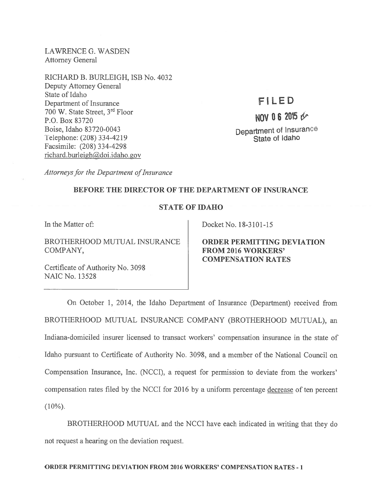LAWRENCE G. WASDEN Attorney General

RICHARD B. BURLEIGH, ISB No. 4032 Deputy Attorney General State of Idaho Department of Insurance 700 W. State Street, 3rd Floor P.O. Box 83720 Boise, Idaho 83720-0043 Telephone: (208) 334-4219 Facsimile: (208) 334-4298 richard.burleigh@doi.idaho.gov

# flLED

# NOV 06 2015 &

Department of Insurance State of Idaho

Attorneys for the Department of Insurance

## BEFORE THE DIRECTOR OF THE DEPARTMENT OF INSURANCE

## STATE OF IDAHO

BROTHERHOOD MUTUAL INSURANCE | ORDER PERMITTING DEVIATION COMPANY, **FROM 2016 WORKERS'** 

Certificate of Authority No. 3098 NAIC No. 13528

In the Matter of: Docket No. 18-3101-15

COMPENSATION RATES

On October 1, 2014, the Idaho Department of Insurance (Department) received from BROTHERHOOD MUTUAL INSURANCE COMPANY (BROTHERHOOD MUTUAL), an Indiana-domiciled insurer licensed to transact workers' compensation insurance in the state of Idaho pursuan<sup>t</sup> to Certificate of Authority No. 3098, and <sup>a</sup> member of the National Council on Compensation Insurance, Inc. (NCCI), a request for permission to deviate from the workers' compensation rates filed by the NCCI for 2016 by a uniform percentage decrease of ten percent  $(10\%)$ .

BROTHERHOOD MUTUAL and the NCCI have each indicated in writing that they do not reques<sup>t</sup> <sup>a</sup> hearing on the deviation request.

#### ORDER PERMITTING DEVIATION FROM 2016 WORKERS' COMPENSATION RATES - 1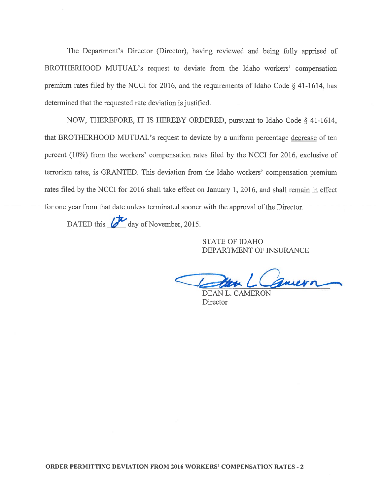The Department's Director (Director), having reviewed and being fully apprised of BROTHERHOOD MUTUAL's reques<sup>t</sup> to deviate from the Idaho workers' compensation premium rates filed by the NCCI for 2016, and the requirements of Idaho Code § 41-1614, has determined that the requested rate deviation is justified.

NOW. THEREFORE. IT IS HEREBY ORDERED, pursuan<sup>t</sup> to Idaho Code § 41-1614, that BROTHERHOOD MUTUAL's reques<sup>t</sup> to deviate by <sup>a</sup> uniform percentage decrease of ten percen<sup>t</sup> (10%) from the workers' compensation rates filed by the NCCI for 2016, exclusive of terrorism rates, is GRANTED. This deviation from the Idaho workers' compensation premium rates filed by the NCCI for 2016 shall take effect on January 1, 2016, and shall remain in effect for one year from that date unless terminated sooner with the approval of the Director.

DATED this  $\overline{\mathscr{O}^{\mathbf{L}}}$  day of November, 2015.

STATE OF IDAHO DEPARTMENT OF INSURANCE

amern

DEAN L. CAMERON **Director**